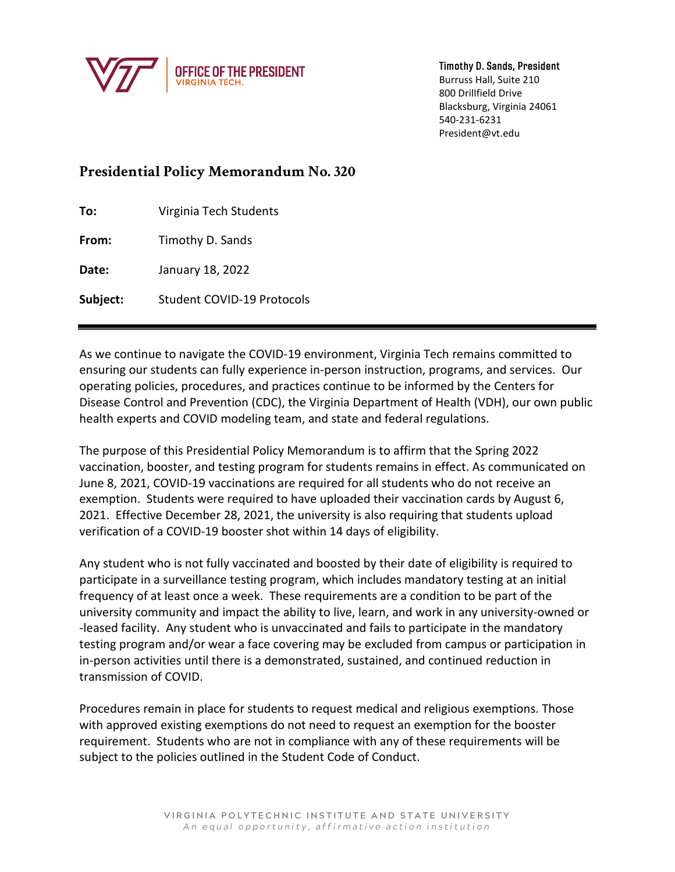

Timothy D. Sands, President Burruss Hall, Suite 210 800 Drillfield Drive Blacksburg, Virginia 24061

540-231-6231 President@vt.edu

## **Presidential Policy Memorandum No. 320**

**To:** Virginia Tech Students

**From:** Timothy D. Sands

**Date:** January 18, 2022

**Subject:** Student COVID-19 Protocols

As we continue to navigate the COVID-19 environment, Virginia Tech remains committed to ensuring our students can fully experience in-person instruction, programs, and services. Our operating policies, procedures, and practices continue to be informed by the Centers for Disease Control and Prevention (CDC), the Virginia Department of Health (VDH), our own public health experts and COVID modeling team, and state and federal regulations.

The purpose of this Presidential Policy Memorandum is to affirm that the Spring 2022 vaccination, booster, and testing program for students remains in effect. As communicated on June 8, 2021, COVID-19 vaccinations are required for all students who do not receive an exemption. Students were required to have uploaded their vaccination cards by August 6, 2021. Effective December 28, 2021, the university is also requiring that students upload verification of a COVID-19 booster shot within 14 days of eligibility.

Any student who is not fully vaccinated and boosted by their date of eligibility is required to participate in a surveillance testing program, which includes mandatory testing at an initial frequency of at least once a week. These requirements are a condition to be part of the university community and impact the ability to live, learn, and work in any university-owned or -leased facility. Any student who is unvaccinated and fails to participate in the mandatory testing program and/or wear a face covering may be excluded from campus or participation in in-person activities until there is a demonstrated, sustained, and continued reduction in transmission of COVID.

Procedures remain in place for students to request medical and religious exemptions. Those with approved existing exemptions do not need to request an exemption for the booster requirement. Students who are not in compliance with any of these requirements will be subject to the policies outlined in the Student Code of Conduct.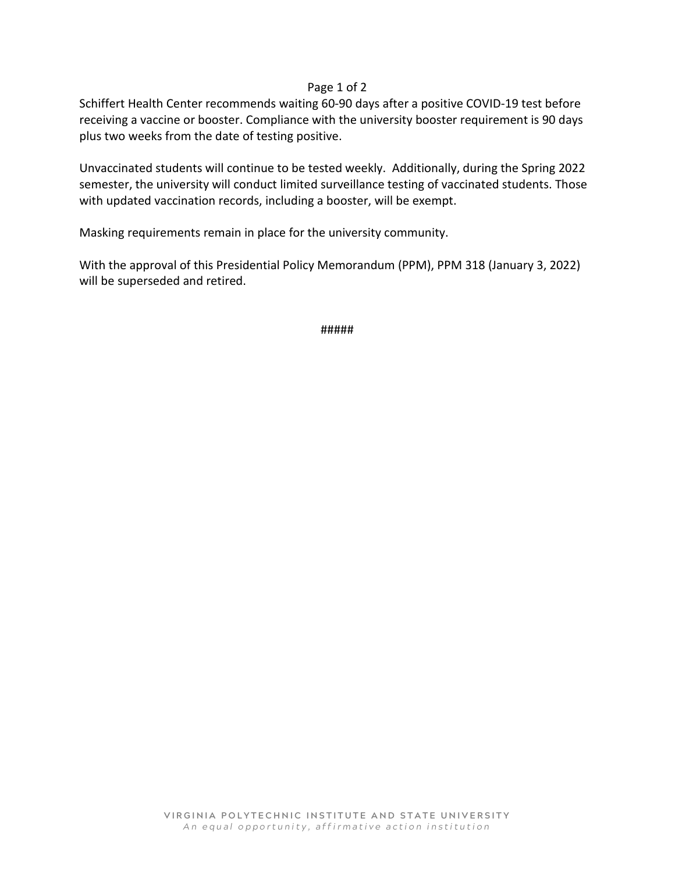## Page 1 of 2

Schiffert Health Center recommends waiting 60-90 days after a positive COVID-19 test before receiving a vaccine or booster. Compliance with the university booster requirement is 90 days plus two weeks from the date of testing positive.

Unvaccinated students will continue to be tested weekly. Additionally, during the Spring 2022 semester, the university will conduct limited surveillance testing of vaccinated students. Those with updated vaccination records, including a booster, will be exempt.

Masking requirements remain in place for the university community.

With the approval of this Presidential Policy Memorandum (PPM), PPM 318 (January 3, 2022) will be superseded and retired.

#####